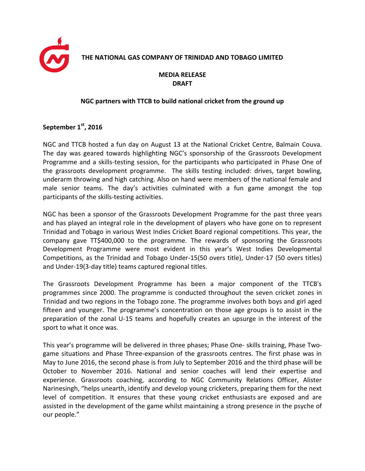

## **THE NATIONAL GAS COMPANY OF TRINIDAD AND TOBAGO LIMITED**

## **MEDIA RELEASE DRAFT**

## **NGC partners with TTCB to build national cricket from the ground up**

## **September 1st , 2016**

NGC and TTCB hosted a fun day on August 13 at the National Cricket Centre, Balmain Couva. The day was geared towards highlighting NGC's sponsorship of the Grassroots Development Programme and a skills-testing session, for the participants who participated in Phase One of the grassroots development programme. The skills testing included: drives, target bowling, underarm throwing and high catching. Also on hand were members of the national female and male senior teams. The day's activities culminated with a fun game amongst the top participants of the skills-testing activities.

NGC has been a sponsor of the Grassroots Development Programme for the past three years and has played an integral role in the development of players who have gone on to represent Trinidad and Tobago in various West Indies Cricket Board regional competitions. This year, the company gave TT\$400,000 to the programme. The rewards of sponsoring the Grassroots Development Programme were most evident in this year's West Indies Developmental Competitions, as the Trinidad and Tobago Under-15(50 overs title), Under-17 (50 overs titles) and Under-19(3-day title) teams captured regional titles.

The Grassroots Development Programme has been a major component of the TTCB's programmes since 2000. The programme is conducted throughout the seven cricket zones in Trinidad and two regions in the Tobago zone. The programme involves both boys and girl aged fifteen and younger. The programme's concentration on those age groups is to assist in the preparation of the zonal U-15 teams and hopefully creates an upsurge in the interest of the sport to what it once was.

This year's programme will be delivered in three phases; Phase One- skills training, Phase Twogame situations and Phase Three-expansion of the grassroots centres. The first phase was in May to June 2016, the second phase is from July to September 2016 and the third phase will be October to November 2016. National and senior coaches will lend their expertise and experience. Grassroots coaching, according to NGC Community Relations Officer, Alister Narinesingh, "helps unearth, identify and develop young cricketers, preparing them for the next level of competition. It ensures that these young cricket enthusiasts are exposed and are assisted in the development of the game whilst maintaining a strong presence in the psyche of our people."